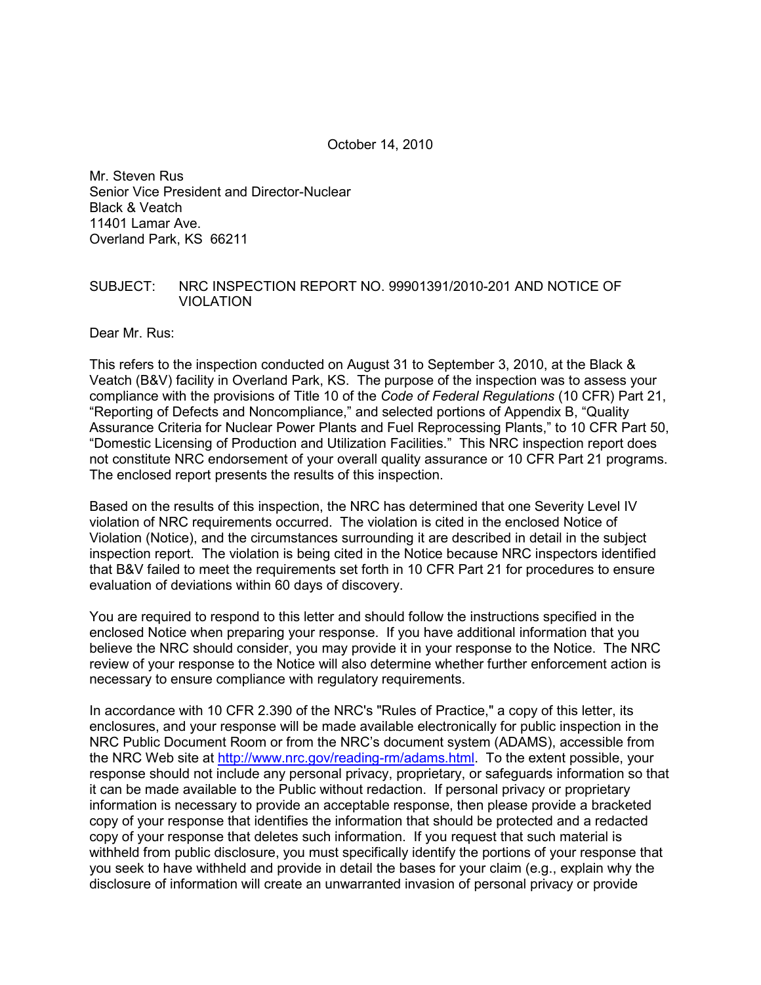October 14, 2010

Mr. Steven Rus Senior Vice President and Director-Nuclear Black & Veatch 11401 Lamar Ave. Overland Park, KS 66211

#### SUBJECT: NRC INSPECTION REPORT NO. 99901391/2010-201 AND NOTICE OF VIOLATION

Dear Mr. Rus:

This refers to the inspection conducted on August 31 to September 3, 2010, at the Black & Veatch (B&V) facility in Overland Park, KS. The purpose of the inspection was to assess your compliance with the provisions of Title 10 of the *Code of Federal Regulations* (10 CFR) Part 21, "Reporting of Defects and Noncompliance," and selected portions of Appendix B, "Quality Assurance Criteria for Nuclear Power Plants and Fuel Reprocessing Plants," to 10 CFR Part 50, "Domestic Licensing of Production and Utilization Facilities." This NRC inspection report does not constitute NRC endorsement of your overall quality assurance or 10 CFR Part 21 programs. The enclosed report presents the results of this inspection.

Based on the results of this inspection, the NRC has determined that one Severity Level IV violation of NRC requirements occurred. The violation is cited in the enclosed Notice of Violation (Notice), and the circumstances surrounding it are described in detail in the subject inspection report. The violation is being cited in the Notice because NRC inspectors identified that B&V failed to meet the requirements set forth in 10 CFR Part 21 for procedures to ensure evaluation of deviations within 60 days of discovery.

You are required to respond to this letter and should follow the instructions specified in the enclosed Notice when preparing your response. If you have additional information that you believe the NRC should consider, you may provide it in your response to the Notice. The NRC review of your response to the Notice will also determine whether further enforcement action is necessary to ensure compliance with regulatory requirements.

In accordance with 10 CFR 2.390 of the NRC's "Rules of Practice," a copy of this letter, its enclosures, and your response will be made available electronically for public inspection in the NRC Public Document Room or from the NRC's document system (ADAMS), accessible from the NRC Web site at http://www.nrc.gov/reading-rm/adams.html. To the extent possible, your response should not include any personal privacy, proprietary, or safeguards information so that it can be made available to the Public without redaction. If personal privacy or proprietary information is necessary to provide an acceptable response, then please provide a bracketed copy of your response that identifies the information that should be protected and a redacted copy of your response that deletes such information. If you request that such material is withheld from public disclosure, you must specifically identify the portions of your response that you seek to have withheld and provide in detail the bases for your claim (e.g., explain why the disclosure of information will create an unwarranted invasion of personal privacy or provide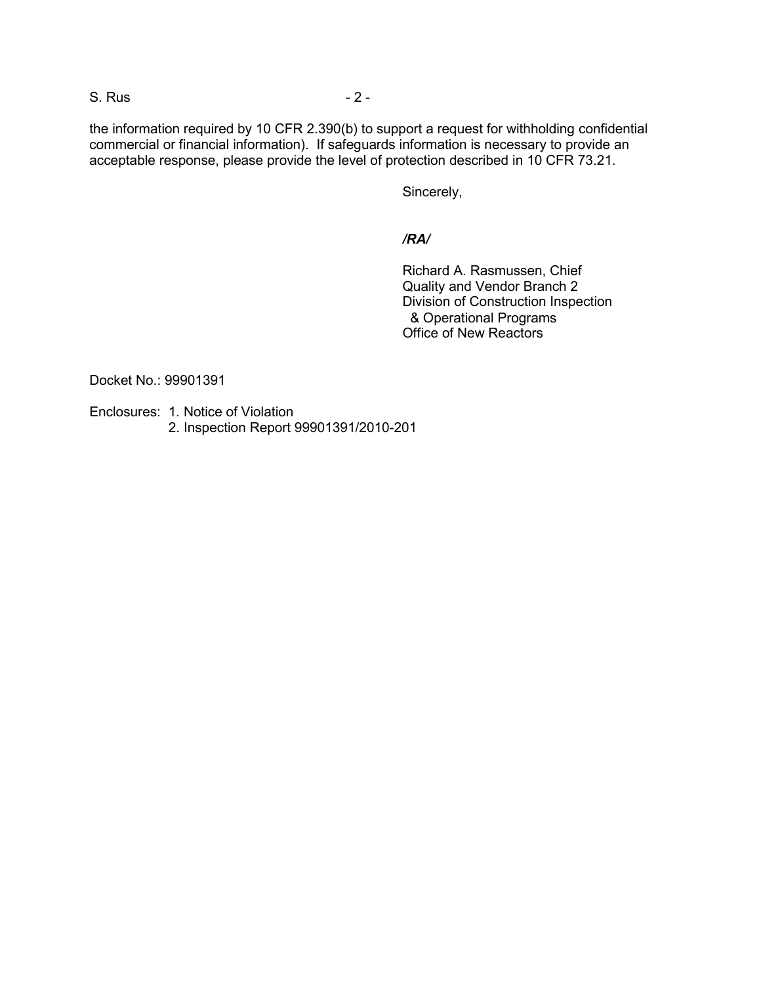S. Rus  $-2$  -

the information required by 10 CFR 2.390(b) to support a request for withholding confidential commercial or financial information). If safeguards information is necessary to provide an acceptable response, please provide the level of protection described in 10 CFR 73.21.

Sincerely,

# */RA/*

 Richard A. Rasmussen, Chief Quality and Vendor Branch 2 Division of Construction Inspection & Operational Programs Office of New Reactors

Docket No.: 99901391

Enclosures: 1. Notice of Violation

2. Inspection Report 99901391/2010-201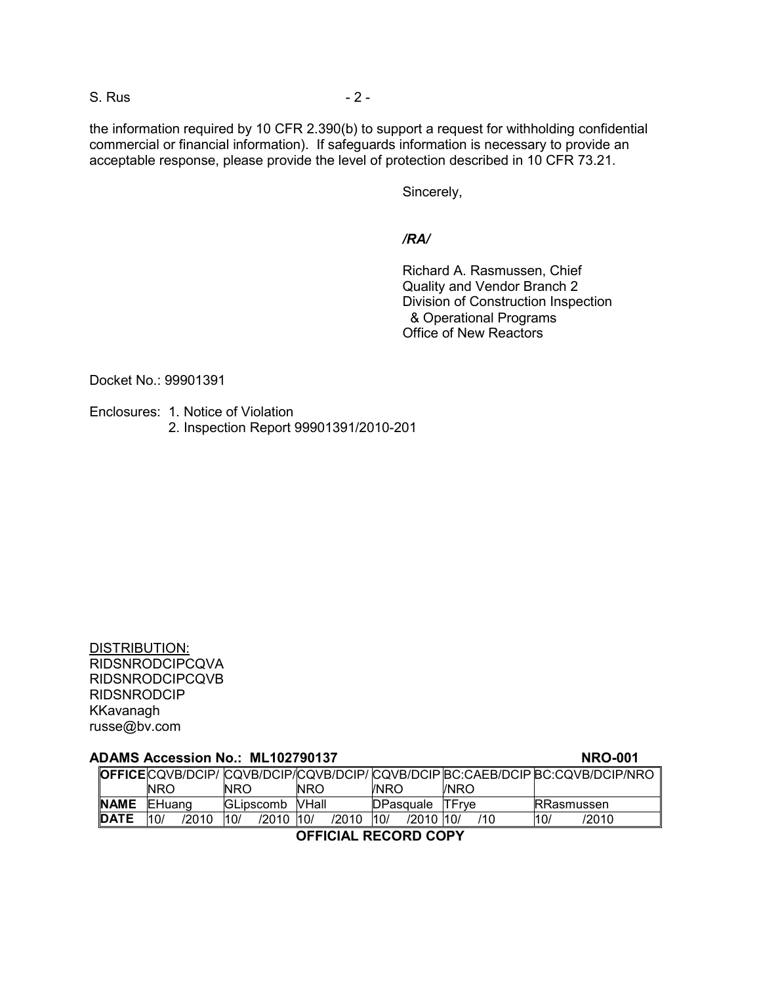S. Rus - 2 -

the information required by 10 CFR 2.390(b) to support a request for withholding confidential commercial or financial information). If safeguards information is necessary to provide an acceptable response, please provide the level of protection described in 10 CFR 73.21.

Sincerely,

*/RA/* 

 Richard A. Rasmussen, Chief Quality and Vendor Branch 2 Division of Construction Inspection & Operational Programs Office of New Reactors

Docket No.: 99901391

Enclosures: 1. Notice of Violation 2. Inspection Report 99901391/2010-201

| <b>DISTRIBUTION:</b>   |
|------------------------|
| <b>RIDSNRODCIPCQVA</b> |
| <b>RIDSNRODCIPCQVB</b> |
| <b>RIDSNRODCIP</b>     |
| KKavanagh              |
| russe@bv.com           |

| <b>ADAMS Accession No.: ML102790137</b><br><b>NRO-001</b> |        |       |      |                  |            |       |                  |           |               |     |                    |                                                                               |
|-----------------------------------------------------------|--------|-------|------|------------------|------------|-------|------------------|-----------|---------------|-----|--------------------|-------------------------------------------------------------------------------|
|                                                           |        |       |      |                  |            |       |                  |           |               |     |                    | OFFICECQVB/DCIP/ CQVB/DCIP/CQVB/DCIP/ CQVB/DCIP BC:CAEB/DCIP BC:CQVB/DCIP/NRO |
|                                                           | NRO    |       | NRO. |                  | <b>NRO</b> |       | <b>INRO</b>      |           | /NRO          |     |                    |                                                                               |
| <b>NAME</b>                                               | EHuang |       |      | <b>GLipscomb</b> | VHall      |       | <b>DPasquale</b> |           | <b>ITFrve</b> |     | <b>IRRasmussen</b> |                                                                               |
| <b>DATE</b>                                               | 10/    | /2010 | 10/  | /2010            | 10/        | /2010 | 10/              | /2010 10/ |               | /10 | 10/                | /2010                                                                         |
| ACCIAIAL DEAADD AADV                                      |        |       |      |                  |            |       |                  |           |               |     |                    |                                                                               |

**OFFICIAL RECORD COPY**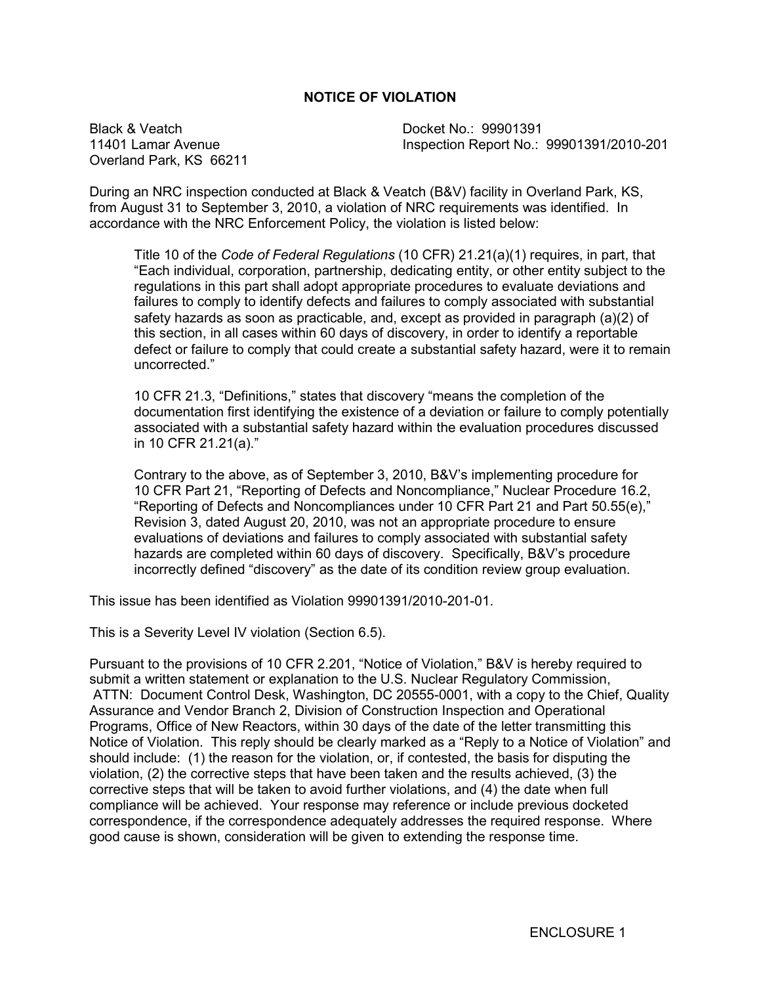# **NOTICE OF VIOLATION**

Black & Veatch 11401 Lamar Avenue Overland Park, KS 66211 Docket No.: 99901391 Inspection Report No.: 99901391/2010-201

During an NRC inspection conducted at Black & Veatch (B&V) facility in Overland Park, KS, from August 31 to September 3, 2010, a violation of NRC requirements was identified. In accordance with the NRC Enforcement Policy, the violation is listed below:

Title 10 of the *Code of Federal Regulations* (10 CFR) 21.21(a)(1) requires, in part, that "Each individual, corporation, partnership, dedicating entity, or other entity subject to the regulations in this part shall adopt appropriate procedures to evaluate deviations and failures to comply to identify defects and failures to comply associated with substantial safety hazards as soon as practicable, and, except as provided in paragraph (a)(2) of this section, in all cases within 60 days of discovery, in order to identify a reportable defect or failure to comply that could create a substantial safety hazard, were it to remain uncorrected."

10 CFR 21.3, "Definitions," states that discovery "means the completion of the documentation first identifying the existence of a deviation or failure to comply potentially associated with a substantial safety hazard within the evaluation procedures discussed in 10 CFR 21.21(a)."

Contrary to the above, as of September 3, 2010, B&V's implementing procedure for 10 CFR Part 21, "Reporting of Defects and Noncompliance," Nuclear Procedure 16.2, "Reporting of Defects and Noncompliances under 10 CFR Part 21 and Part 50.55(e)," Revision 3, dated August 20, 2010, was not an appropriate procedure to ensure evaluations of deviations and failures to comply associated with substantial safety hazards are completed within 60 days of discovery. Specifically, B&V's procedure incorrectly defined "discovery" as the date of its condition review group evaluation.

This issue has been identified as Violation 99901391/2010-201-01.

This is a Severity Level IV violation (Section 6.5).

Pursuant to the provisions of 10 CFR 2.201, "Notice of Violation," B&V is hereby required to submit a written statement or explanation to the U.S. Nuclear Regulatory Commission, ATTN: Document Control Desk, Washington, DC 20555-0001, with a copy to the Chief, Quality Assurance and Vendor Branch 2, Division of Construction Inspection and Operational Programs, Office of New Reactors, within 30 days of the date of the letter transmitting this Notice of Violation. This reply should be clearly marked as a "Reply to a Notice of Violation" and should include: (1) the reason for the violation, or, if contested, the basis for disputing the violation, (2) the corrective steps that have been taken and the results achieved, (3) the corrective steps that will be taken to avoid further violations, and (4) the date when full compliance will be achieved. Your response may reference or include previous docketed correspondence, if the correspondence adequately addresses the required response. Where good cause is shown, consideration will be given to extending the response time.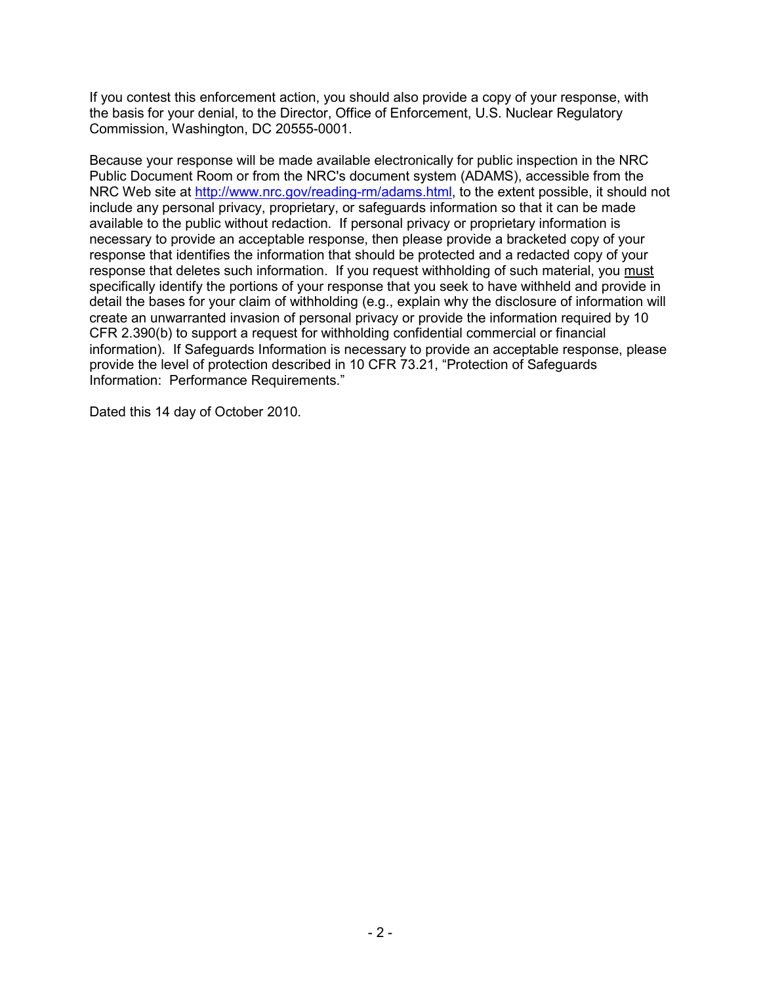If you contest this enforcement action, you should also provide a copy of your response, with the basis for your denial, to the Director, Office of Enforcement, U.S. Nuclear Regulatory Commission, Washington, DC 20555-0001.

Because your response will be made available electronically for public inspection in the NRC Public Document Room or from the NRC's document system (ADAMS), accessible from the NRC Web site at http://www.nrc.gov/reading-rm/adams.html, to the extent possible, it should not include any personal privacy, proprietary, or safeguards information so that it can be made available to the public without redaction. If personal privacy or proprietary information is necessary to provide an acceptable response, then please provide a bracketed copy of your response that identifies the information that should be protected and a redacted copy of your response that deletes such information. If you request withholding of such material, you must specifically identify the portions of your response that you seek to have withheld and provide in detail the bases for your claim of withholding (e.g., explain why the disclosure of information will create an unwarranted invasion of personal privacy or provide the information required by 10 CFR 2.390(b) to support a request for withholding confidential commercial or financial information). If Safeguards Information is necessary to provide an acceptable response, please provide the level of protection described in 10 CFR 73.21, "Protection of Safeguards Information: Performance Requirements."

Dated this 14 day of October 2010.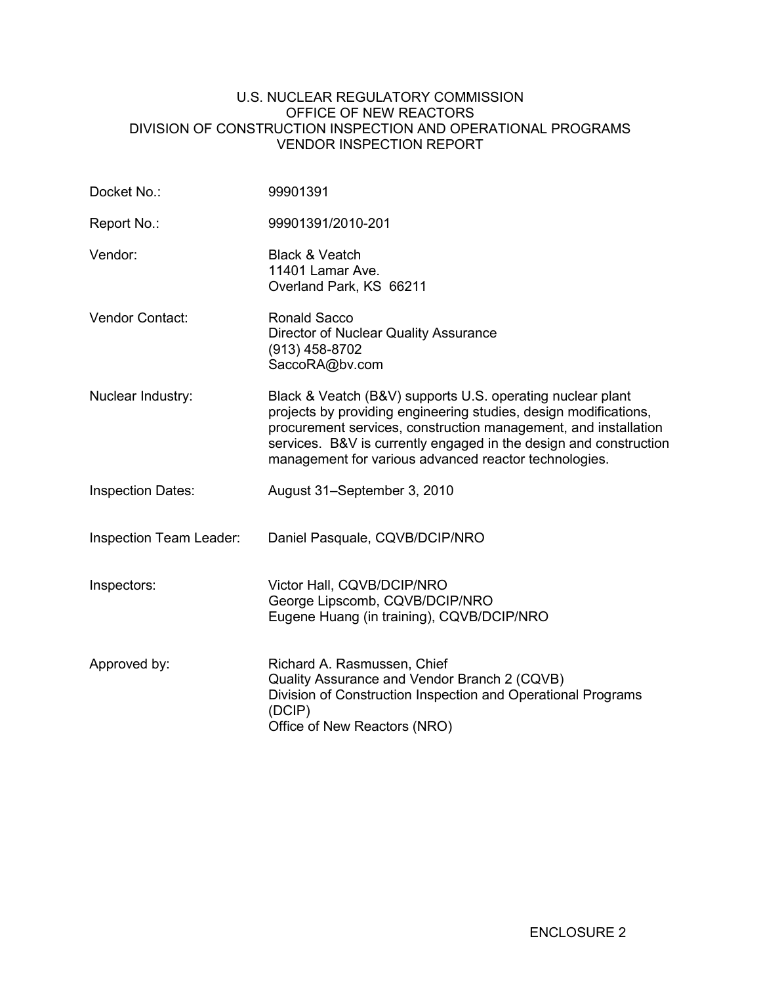### U.S. NUCLEAR REGULATORY COMMISSION OFFICE OF NEW REACTORS DIVISION OF CONSTRUCTION INSPECTION AND OPERATIONAL PROGRAMS VENDOR INSPECTION REPORT

| Docket No.:              | 99901391                                                                                                                                                                                                                                                                                                                        |
|--------------------------|---------------------------------------------------------------------------------------------------------------------------------------------------------------------------------------------------------------------------------------------------------------------------------------------------------------------------------|
| Report No.:              | 99901391/2010-201                                                                                                                                                                                                                                                                                                               |
| Vendor:                  | <b>Black &amp; Veatch</b><br>11401 Lamar Ave.<br>Overland Park, KS 66211                                                                                                                                                                                                                                                        |
| <b>Vendor Contact:</b>   | Ronald Sacco<br>Director of Nuclear Quality Assurance<br>(913) 458-8702<br>SaccoRA@bv.com                                                                                                                                                                                                                                       |
| Nuclear Industry:        | Black & Veatch (B&V) supports U.S. operating nuclear plant<br>projects by providing engineering studies, design modifications,<br>procurement services, construction management, and installation<br>services. B&V is currently engaged in the design and construction<br>management for various advanced reactor technologies. |
| <b>Inspection Dates:</b> | August 31–September 3, 2010                                                                                                                                                                                                                                                                                                     |
| Inspection Team Leader:  | Daniel Pasquale, CQVB/DCIP/NRO                                                                                                                                                                                                                                                                                                  |
| Inspectors:              | Victor Hall, CQVB/DCIP/NRO<br>George Lipscomb, CQVB/DCIP/NRO<br>Eugene Huang (in training), CQVB/DCIP/NRO                                                                                                                                                                                                                       |
| Approved by:             | Richard A. Rasmussen, Chief<br>Quality Assurance and Vendor Branch 2 (CQVB)<br>Division of Construction Inspection and Operational Programs<br>(DCIP)<br>Office of New Reactors (NRO)                                                                                                                                           |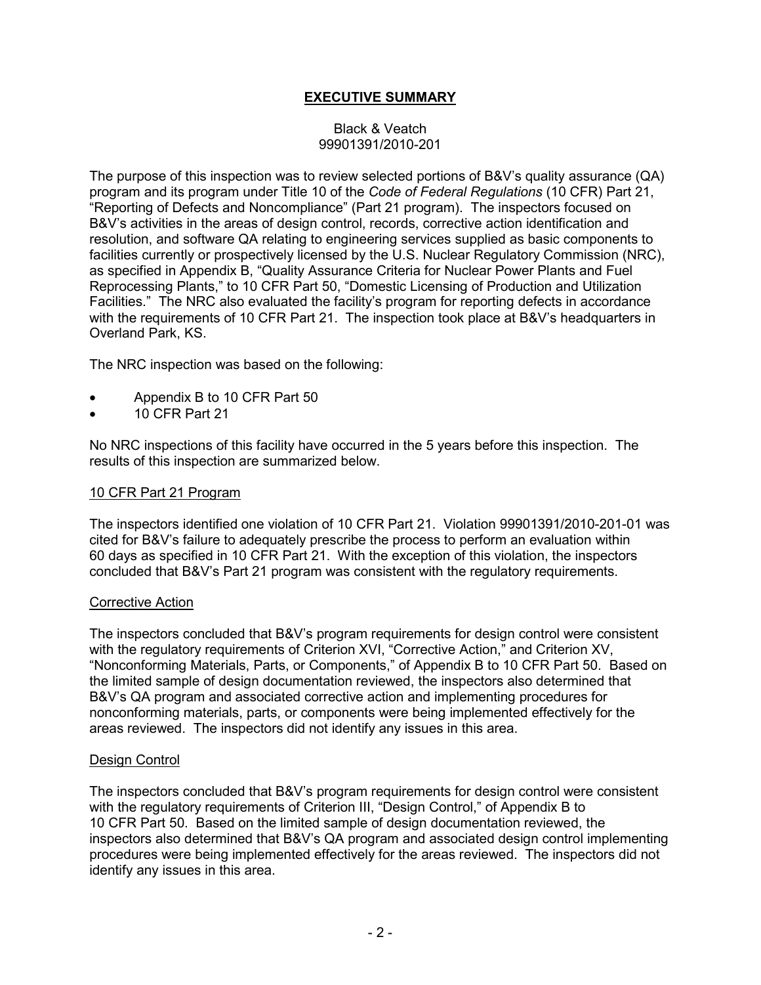# **EXECUTIVE SUMMARY**

# Black & Veatch 99901391/2010-201

The purpose of this inspection was to review selected portions of B&V's quality assurance (QA) program and its program under Title 10 of the *Code of Federal Regulations* (10 CFR) Part 21, "Reporting of Defects and Noncompliance" (Part 21 program). The inspectors focused on B&V's activities in the areas of design control, records, corrective action identification and resolution, and software QA relating to engineering services supplied as basic components to facilities currently or prospectively licensed by the U.S. Nuclear Regulatory Commission (NRC), as specified in Appendix B, "Quality Assurance Criteria for Nuclear Power Plants and Fuel Reprocessing Plants," to 10 CFR Part 50, "Domestic Licensing of Production and Utilization Facilities." The NRC also evaluated the facility's program for reporting defects in accordance with the requirements of 10 CFR Part 21. The inspection took place at B&V's headquarters in Overland Park, KS.

The NRC inspection was based on the following:

- Appendix B to 10 CFR Part 50
- 10 CFR Part 21

No NRC inspections of this facility have occurred in the 5 years before this inspection. The results of this inspection are summarized below.

### 10 CFR Part 21 Program

The inspectors identified one violation of 10 CFR Part 21. Violation 99901391/2010-201-01 was cited for B&V's failure to adequately prescribe the process to perform an evaluation within 60 days as specified in 10 CFR Part 21. With the exception of this violation, the inspectors concluded that B&V's Part 21 program was consistent with the regulatory requirements.

#### Corrective Action

The inspectors concluded that B&V's program requirements for design control were consistent with the regulatory requirements of Criterion XVI, "Corrective Action," and Criterion XV, "Nonconforming Materials, Parts, or Components," of Appendix B to 10 CFR Part 50. Based on the limited sample of design documentation reviewed, the inspectors also determined that B&V's QA program and associated corrective action and implementing procedures for nonconforming materials, parts, or components were being implemented effectively for the areas reviewed. The inspectors did not identify any issues in this area.

#### Design Control

The inspectors concluded that B&V's program requirements for design control were consistent with the regulatory requirements of Criterion III, "Design Control," of Appendix B to 10 CFR Part 50. Based on the limited sample of design documentation reviewed, the inspectors also determined that B&V's QA program and associated design control implementing procedures were being implemented effectively for the areas reviewed. The inspectors did not identify any issues in this area.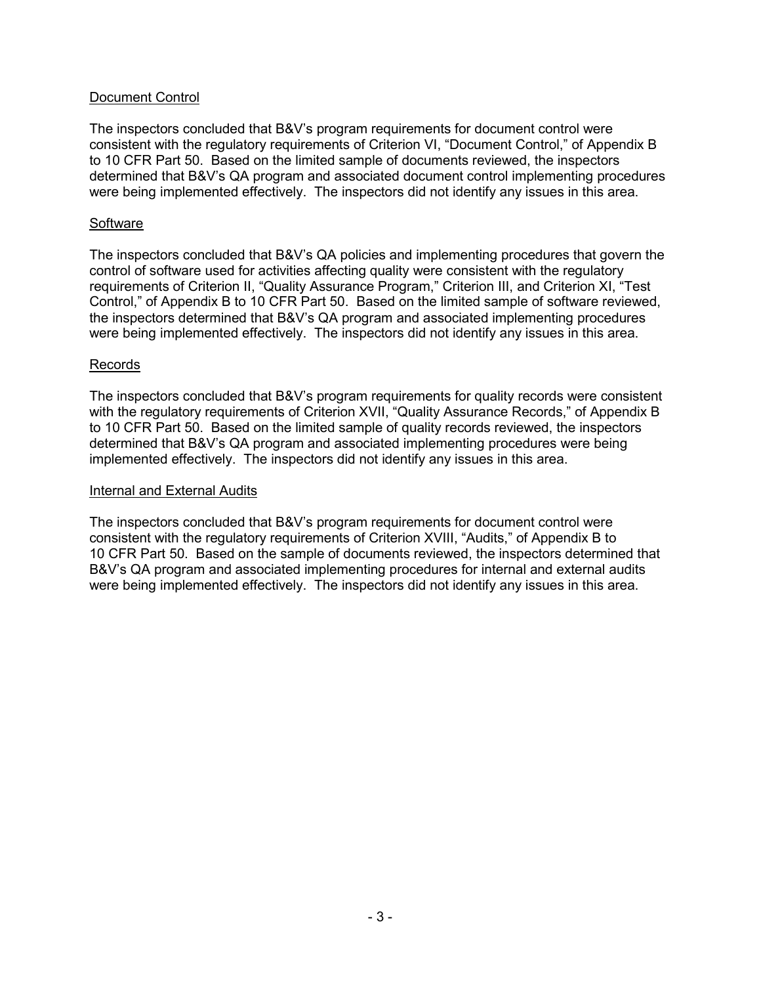# Document Control

The inspectors concluded that B&V's program requirements for document control were consistent with the regulatory requirements of Criterion VI, "Document Control," of Appendix B to 10 CFR Part 50. Based on the limited sample of documents reviewed, the inspectors determined that B&V's QA program and associated document control implementing procedures were being implemented effectively. The inspectors did not identify any issues in this area.

### **Software**

The inspectors concluded that B&V's QA policies and implementing procedures that govern the control of software used for activities affecting quality were consistent with the regulatory requirements of Criterion II, "Quality Assurance Program," Criterion III, and Criterion XI, "Test Control," of Appendix B to 10 CFR Part 50. Based on the limited sample of software reviewed, the inspectors determined that B&V's QA program and associated implementing procedures were being implemented effectively. The inspectors did not identify any issues in this area.

#### Records

The inspectors concluded that B&V's program requirements for quality records were consistent with the regulatory requirements of Criterion XVII, "Quality Assurance Records," of Appendix B to 10 CFR Part 50. Based on the limited sample of quality records reviewed, the inspectors determined that B&V's QA program and associated implementing procedures were being implemented effectively. The inspectors did not identify any issues in this area.

#### Internal and External Audits

The inspectors concluded that B&V's program requirements for document control were consistent with the regulatory requirements of Criterion XVIII, "Audits," of Appendix B to 10 CFR Part 50. Based on the sample of documents reviewed, the inspectors determined that B&V's QA program and associated implementing procedures for internal and external audits were being implemented effectively. The inspectors did not identify any issues in this area.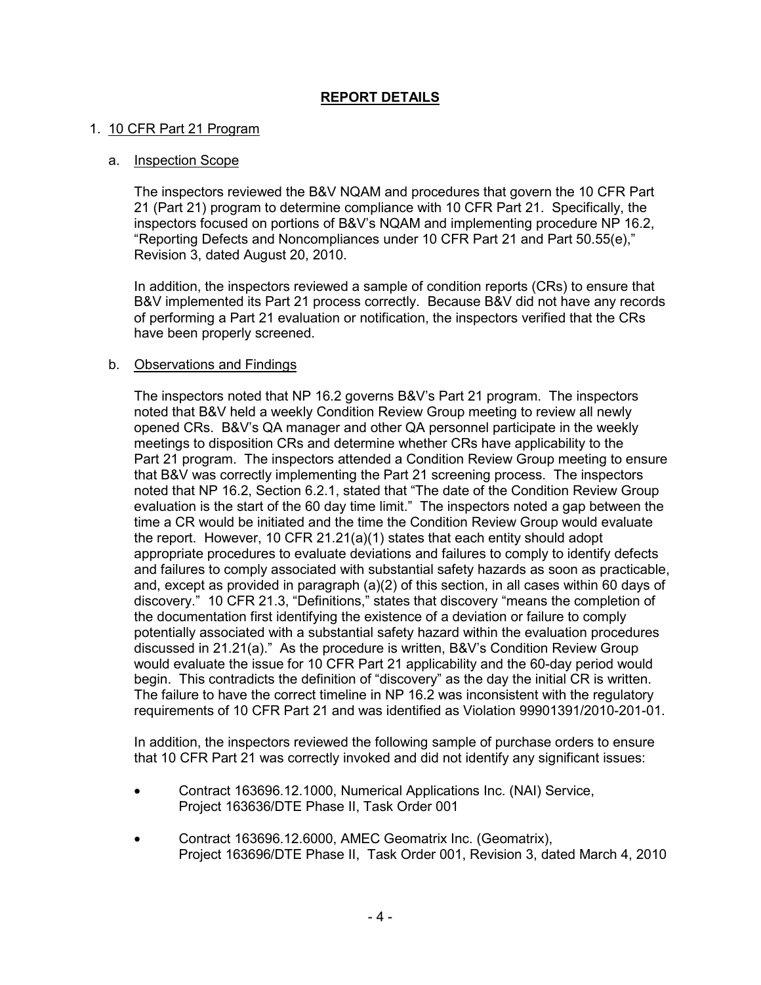# **REPORT DETAILS**

# 1. 10 CFR Part 21 Program

### a. Inspection Scope

The inspectors reviewed the B&V NQAM and procedures that govern the 10 CFR Part 21 (Part 21) program to determine compliance with 10 CFR Part 21. Specifically, the inspectors focused on portions of B&V's NQAM and implementing procedure NP 16.2, "Reporting Defects and Noncompliances under 10 CFR Part 21 and Part 50.55(e)," Revision 3, dated August 20, 2010.

In addition, the inspectors reviewed a sample of condition reports (CRs) to ensure that B&V implemented its Part 21 process correctly. Because B&V did not have any records of performing a Part 21 evaluation or notification, the inspectors verified that the CRs have been properly screened.

### b. Observations and Findings

The inspectors noted that NP 16.2 governs B&V's Part 21 program. The inspectors noted that B&V held a weekly Condition Review Group meeting to review all newly opened CRs. B&V's QA manager and other QA personnel participate in the weekly meetings to disposition CRs and determine whether CRs have applicability to the Part 21 program. The inspectors attended a Condition Review Group meeting to ensure that B&V was correctly implementing the Part 21 screening process. The inspectors noted that NP 16.2, Section 6.2.1, stated that "The date of the Condition Review Group evaluation is the start of the 60 day time limit." The inspectors noted a gap between the time a CR would be initiated and the time the Condition Review Group would evaluate the report. However, 10 CFR 21.21(a)(1) states that each entity should adopt appropriate procedures to evaluate deviations and failures to comply to identify defects and failures to comply associated with substantial safety hazards as soon as practicable, and, except as provided in paragraph (a)(2) of this section, in all cases within 60 days of discovery." 10 CFR 21.3, "Definitions," states that discovery "means the completion of the documentation first identifying the existence of a deviation or failure to comply potentially associated with a substantial safety hazard within the evaluation procedures discussed in 21.21(a)." As the procedure is written, B&V's Condition Review Group would evaluate the issue for 10 CFR Part 21 applicability and the 60-day period would begin. This contradicts the definition of "discovery" as the day the initial CR is written. The failure to have the correct timeline in NP 16.2 was inconsistent with the regulatory requirements of 10 CFR Part 21 and was identified as Violation 99901391/2010-201-01.

In addition, the inspectors reviewed the following sample of purchase orders to ensure that 10 CFR Part 21 was correctly invoked and did not identify any significant issues:

- Contract 163696.12.1000, Numerical Applications Inc. (NAI) Service, Project 163636/DTE Phase II, Task Order 001
- Contract 163696.12.6000, AMEC Geomatrix Inc. (Geomatrix), Project 163696/DTE Phase II, Task Order 001, Revision 3, dated March 4, 2010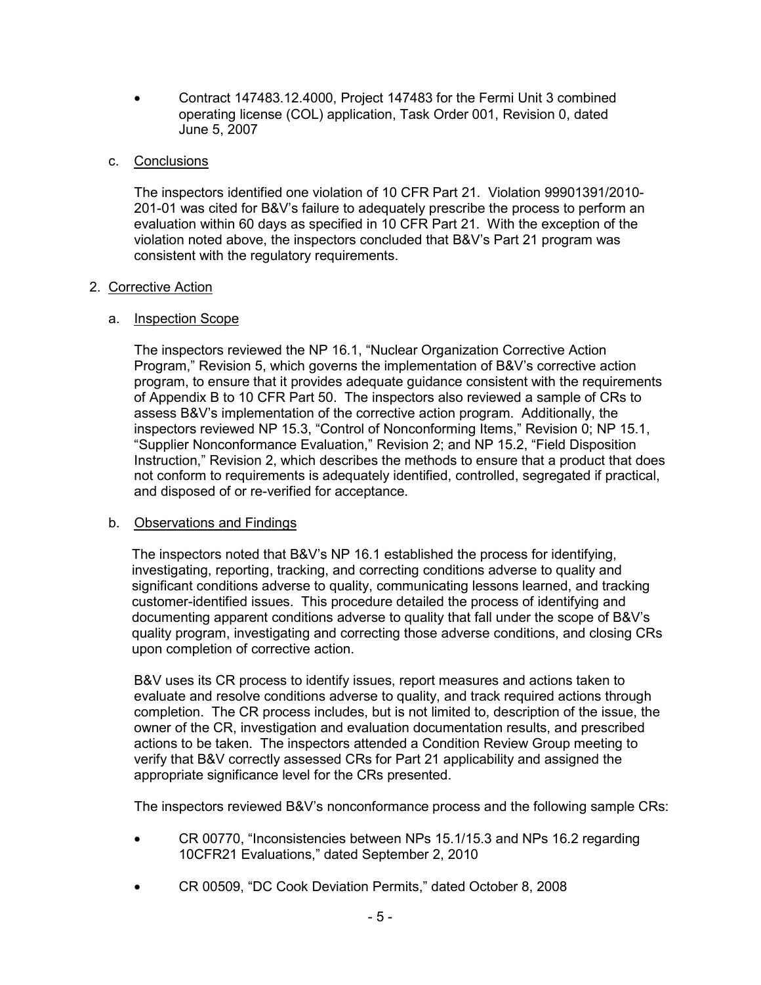• Contract 147483.12.4000, Project 147483 for the Fermi Unit 3 combined operating license (COL) application, Task Order 001, Revision 0, dated June 5, 2007

# c. Conclusions

The inspectors identified one violation of 10 CFR Part 21. Violation 99901391/2010- 201-01 was cited for B&V's failure to adequately prescribe the process to perform an evaluation within 60 days as specified in 10 CFR Part 21. With the exception of the violation noted above, the inspectors concluded that B&V's Part 21 program was consistent with the regulatory requirements.

# 2. Corrective Action

# a. Inspection Scope

The inspectors reviewed the NP 16.1, "Nuclear Organization Corrective Action Program," Revision 5, which governs the implementation of B&V's corrective action program, to ensure that it provides adequate guidance consistent with the requirements of Appendix B to 10 CFR Part 50. The inspectors also reviewed a sample of CRs to assess B&V's implementation of the corrective action program. Additionally, the inspectors reviewed NP 15.3, "Control of Nonconforming Items," Revision 0; NP 15.1, "Supplier Nonconformance Evaluation," Revision 2; and NP 15.2, "Field Disposition Instruction," Revision 2, which describes the methods to ensure that a product that does not conform to requirements is adequately identified, controlled, segregated if practical, and disposed of or re-verified for acceptance.

# b. Observations and Findings

The inspectors noted that B&V's NP 16.1 established the process for identifying, investigating, reporting, tracking, and correcting conditions adverse to quality and significant conditions adverse to quality, communicating lessons learned, and tracking customer-identified issues. This procedure detailed the process of identifying and documenting apparent conditions adverse to quality that fall under the scope of B&V's quality program, investigating and correcting those adverse conditions, and closing CRs upon completion of corrective action.

B&V uses its CR process to identify issues, report measures and actions taken to evaluate and resolve conditions adverse to quality, and track required actions through completion. The CR process includes, but is not limited to, description of the issue, the owner of the CR, investigation and evaluation documentation results, and prescribed actions to be taken. The inspectors attended a Condition Review Group meeting to verify that B&V correctly assessed CRs for Part 21 applicability and assigned the appropriate significance level for the CRs presented.

The inspectors reviewed B&V's nonconformance process and the following sample CRs:

- CR 00770, "Inconsistencies between NPs 15.1/15.3 and NPs 16.2 regarding 10CFR21 Evaluations," dated September 2, 2010
- CR 00509, "DC Cook Deviation Permits," dated October 8, 2008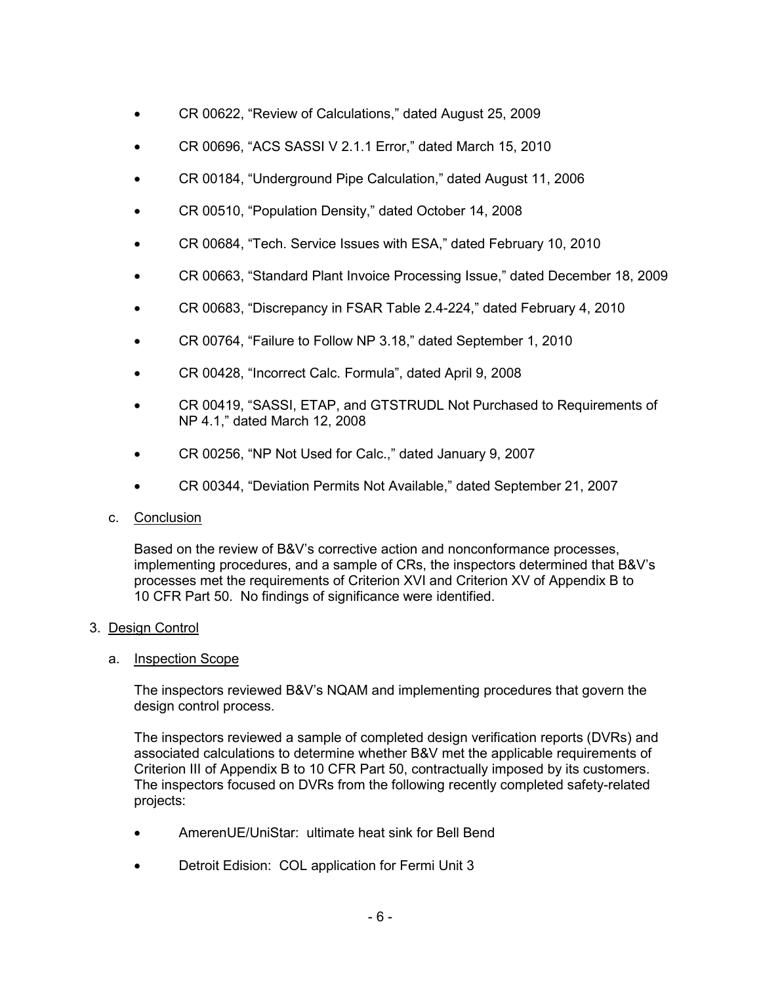- CR 00622, "Review of Calculations," dated August 25, 2009
- CR 00696, "ACS SASSI V 2.1.1 Error," dated March 15, 2010
- CR 00184, "Underground Pipe Calculation," dated August 11, 2006
- CR 00510, "Population Density," dated October 14, 2008
- CR 00684, "Tech. Service Issues with ESA," dated February 10, 2010
- CR 00663, "Standard Plant Invoice Processing Issue," dated December 18, 2009
- CR 00683, "Discrepancy in FSAR Table 2.4-224," dated February 4, 2010
- CR 00764, "Failure to Follow NP 3.18," dated September 1, 2010
- CR 00428, "Incorrect Calc. Formula", dated April 9, 2008
- CR 00419, "SASSI, ETAP, and GTSTRUDL Not Purchased to Requirements of NP 4.1," dated March 12, 2008
- CR 00256, "NP Not Used for Calc.," dated January 9, 2007
- CR 00344, "Deviation Permits Not Available," dated September 21, 2007
- c. Conclusion

Based on the review of B&V's corrective action and nonconformance processes, implementing procedures, and a sample of CRs, the inspectors determined that B&V's processes met the requirements of Criterion XVI and Criterion XV of Appendix B to 10 CFR Part 50. No findings of significance were identified.

# 3. Design Control

# a. Inspection Scope

The inspectors reviewed B&V's NQAM and implementing procedures that govern the design control process.

The inspectors reviewed a sample of completed design verification reports (DVRs) and associated calculations to determine whether B&V met the applicable requirements of Criterion III of Appendix B to 10 CFR Part 50, contractually imposed by its customers. The inspectors focused on DVRs from the following recently completed safety-related projects:

- AmerenUE/UniStar: ultimate heat sink for Bell Bend
- Detroit Edision: COL application for Fermi Unit 3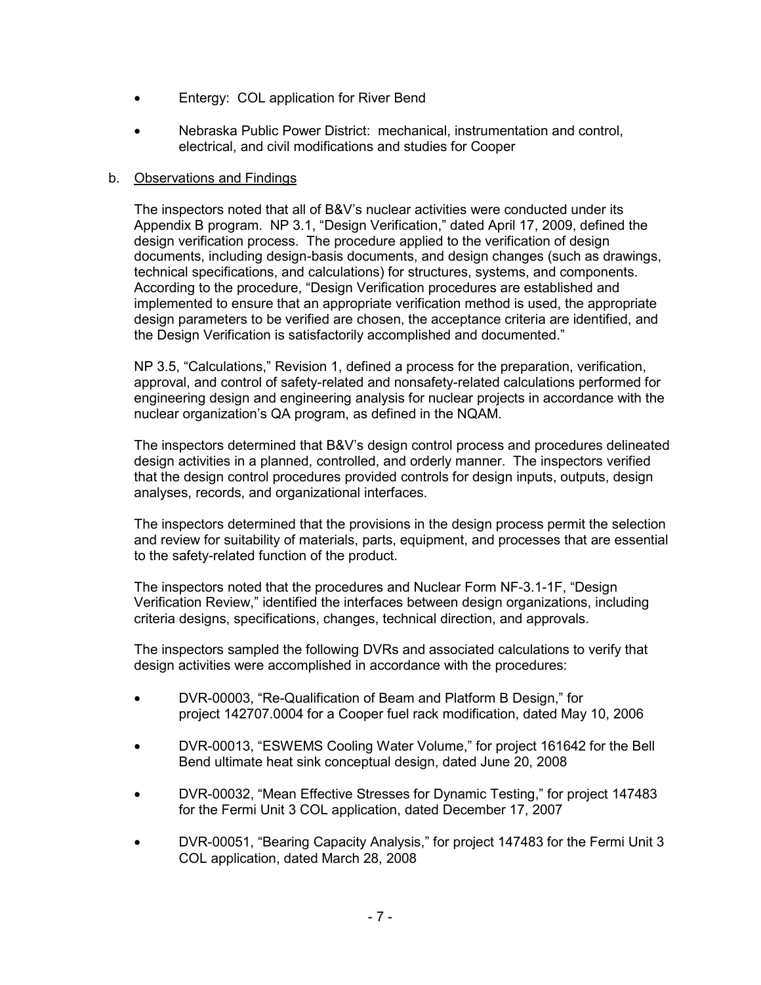- Entergy: COL application for River Bend
- Nebraska Public Power District: mechanical, instrumentation and control, electrical, and civil modifications and studies for Cooper

### b. Observations and Findings

The inspectors noted that all of B&V's nuclear activities were conducted under its Appendix B program. NP 3.1, "Design Verification," dated April 17, 2009, defined the design verification process. The procedure applied to the verification of design documents, including design-basis documents, and design changes (such as drawings, technical specifications, and calculations) for structures, systems, and components. According to the procedure, "Design Verification procedures are established and implemented to ensure that an appropriate verification method is used, the appropriate design parameters to be verified are chosen, the acceptance criteria are identified, and the Design Verification is satisfactorily accomplished and documented."

NP 3.5, "Calculations," Revision 1, defined a process for the preparation, verification, approval, and control of safety-related and nonsafety-related calculations performed for engineering design and engineering analysis for nuclear projects in accordance with the nuclear organization's QA program, as defined in the NQAM.

The inspectors determined that B&V's design control process and procedures delineated design activities in a planned, controlled, and orderly manner. The inspectors verified that the design control procedures provided controls for design inputs, outputs, design analyses, records, and organizational interfaces.

The inspectors determined that the provisions in the design process permit the selection and review for suitability of materials, parts, equipment, and processes that are essential to the safety-related function of the product.

The inspectors noted that the procedures and Nuclear Form NF-3.1-1F, "Design Verification Review," identified the interfaces between design organizations, including criteria designs, specifications, changes, technical direction, and approvals.

The inspectors sampled the following DVRs and associated calculations to verify that design activities were accomplished in accordance with the procedures:

- DVR-00003, "Re-Qualification of Beam and Platform B Design," for project 142707.0004 for a Cooper fuel rack modification, dated May 10, 2006
- DVR-00013, "ESWEMS Cooling Water Volume," for project 161642 for the Bell Bend ultimate heat sink conceptual design, dated June 20, 2008
- DVR-00032, "Mean Effective Stresses for Dynamic Testing," for project 147483 for the Fermi Unit 3 COL application, dated December 17, 2007
- DVR-00051, "Bearing Capacity Analysis," for project 147483 for the Fermi Unit 3 COL application, dated March 28, 2008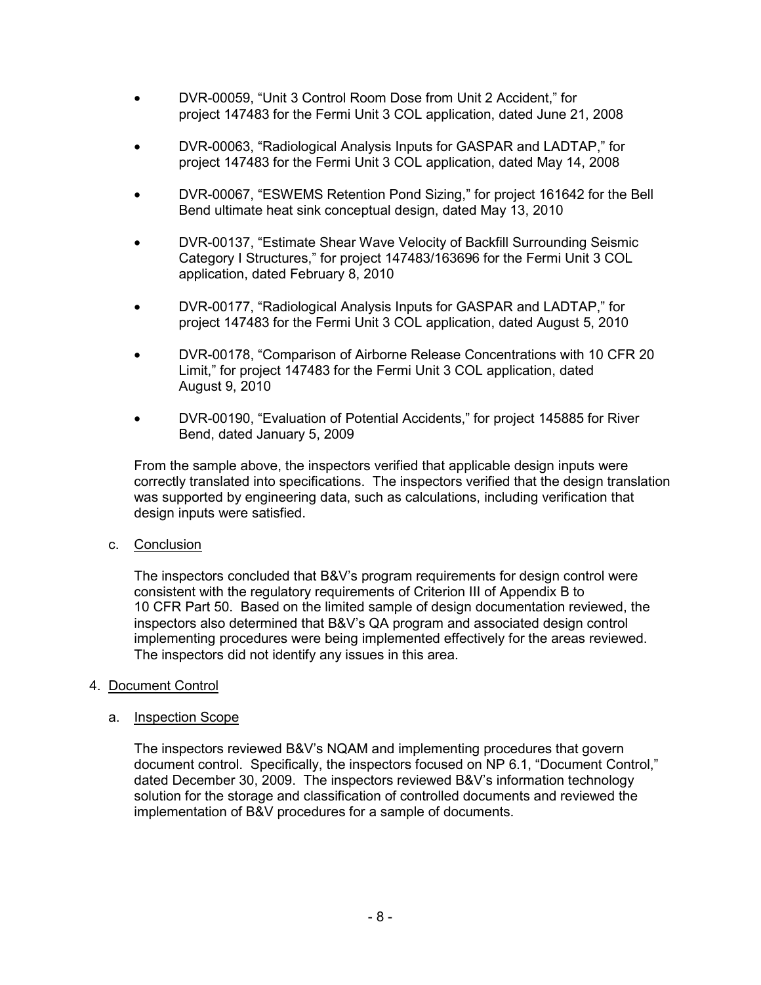- DVR-00059, "Unit 3 Control Room Dose from Unit 2 Accident," for project 147483 for the Fermi Unit 3 COL application, dated June 21, 2008
- DVR-00063, "Radiological Analysis Inputs for GASPAR and LADTAP," for project 147483 for the Fermi Unit 3 COL application, dated May 14, 2008
- DVR-00067, "ESWEMS Retention Pond Sizing," for project 161642 for the Bell Bend ultimate heat sink conceptual design, dated May 13, 2010
- DVR-00137, "Estimate Shear Wave Velocity of Backfill Surrounding Seismic Category I Structures," for project 147483/163696 for the Fermi Unit 3 COL application, dated February 8, 2010
- DVR-00177, "Radiological Analysis Inputs for GASPAR and LADTAP," for project 147483 for the Fermi Unit 3 COL application, dated August 5, 2010
- DVR-00178, "Comparison of Airborne Release Concentrations with 10 CFR 20 Limit," for project 147483 for the Fermi Unit 3 COL application, dated August 9, 2010
- DVR-00190, "Evaluation of Potential Accidents," for project 145885 for River Bend, dated January 5, 2009

From the sample above, the inspectors verified that applicable design inputs were correctly translated into specifications. The inspectors verified that the design translation was supported by engineering data, such as calculations, including verification that design inputs were satisfied.

c. Conclusion

The inspectors concluded that B&V's program requirements for design control were consistent with the regulatory requirements of Criterion III of Appendix B to 10 CFR Part 50. Based on the limited sample of design documentation reviewed, the inspectors also determined that B&V's QA program and associated design control implementing procedures were being implemented effectively for the areas reviewed. The inspectors did not identify any issues in this area.

# 4. Document Control

# a. Inspection Scope

The inspectors reviewed B&V's NQAM and implementing procedures that govern document control. Specifically, the inspectors focused on NP 6.1, "Document Control," dated December 30, 2009. The inspectors reviewed B&V's information technology solution for the storage and classification of controlled documents and reviewed the implementation of B&V procedures for a sample of documents.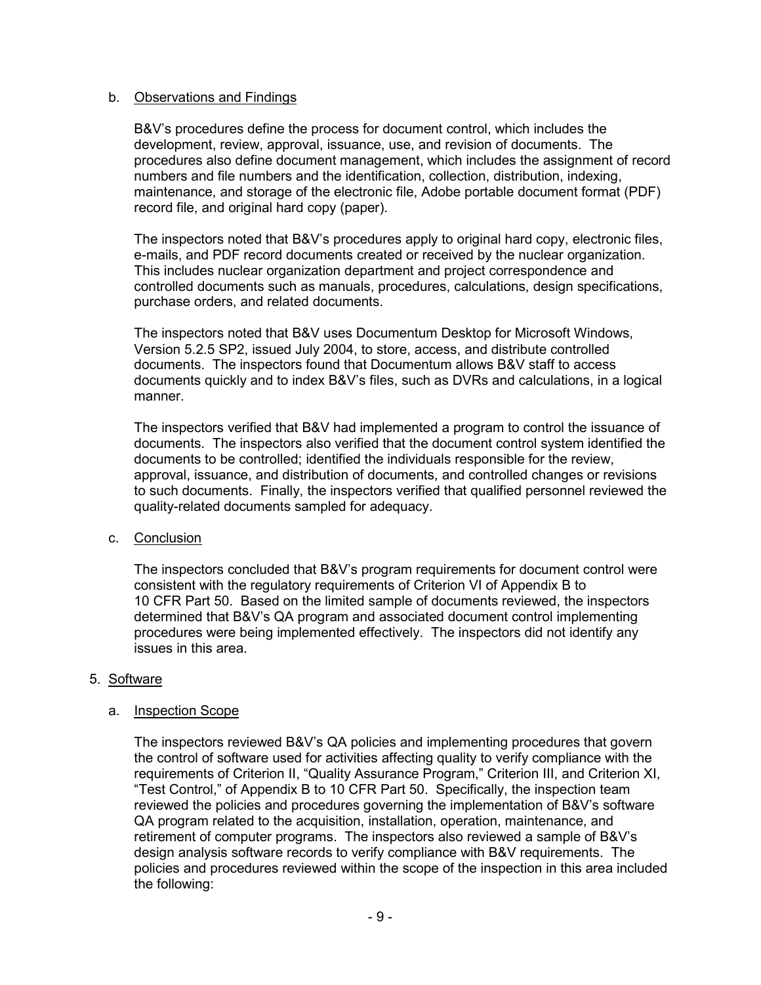### b. Observations and Findings

B&V's procedures define the process for document control, which includes the development, review, approval, issuance, use, and revision of documents. The procedures also define document management, which includes the assignment of record numbers and file numbers and the identification, collection, distribution, indexing, maintenance, and storage of the electronic file, Adobe portable document format (PDF) record file, and original hard copy (paper).

The inspectors noted that B&V's procedures apply to original hard copy, electronic files, e-mails, and PDF record documents created or received by the nuclear organization. This includes nuclear organization department and project correspondence and controlled documents such as manuals, procedures, calculations, design specifications, purchase orders, and related documents.

The inspectors noted that B&V uses Documentum Desktop for Microsoft Windows, Version 5.2.5 SP2, issued July 2004, to store, access, and distribute controlled documents. The inspectors found that Documentum allows B&V staff to access documents quickly and to index B&V's files, such as DVRs and calculations, in a logical manner.

The inspectors verified that B&V had implemented a program to control the issuance of documents. The inspectors also verified that the document control system identified the documents to be controlled; identified the individuals responsible for the review, approval, issuance, and distribution of documents, and controlled changes or revisions to such documents. Finally, the inspectors verified that qualified personnel reviewed the quality-related documents sampled for adequacy.

# c. Conclusion

The inspectors concluded that B&V's program requirements for document control were consistent with the regulatory requirements of Criterion VI of Appendix B to 10 CFR Part 50. Based on the limited sample of documents reviewed, the inspectors determined that B&V's QA program and associated document control implementing procedures were being implemented effectively. The inspectors did not identify any issues in this area.

# 5. Software

#### a. Inspection Scope

The inspectors reviewed B&V's QA policies and implementing procedures that govern the control of software used for activities affecting quality to verify compliance with the requirements of Criterion II, "Quality Assurance Program," Criterion III, and Criterion XI, "Test Control," of Appendix B to 10 CFR Part 50. Specifically, the inspection team reviewed the policies and procedures governing the implementation of B&V's software QA program related to the acquisition, installation, operation, maintenance, and retirement of computer programs. The inspectors also reviewed a sample of B&V's design analysis software records to verify compliance with B&V requirements. The policies and procedures reviewed within the scope of the inspection in this area included the following: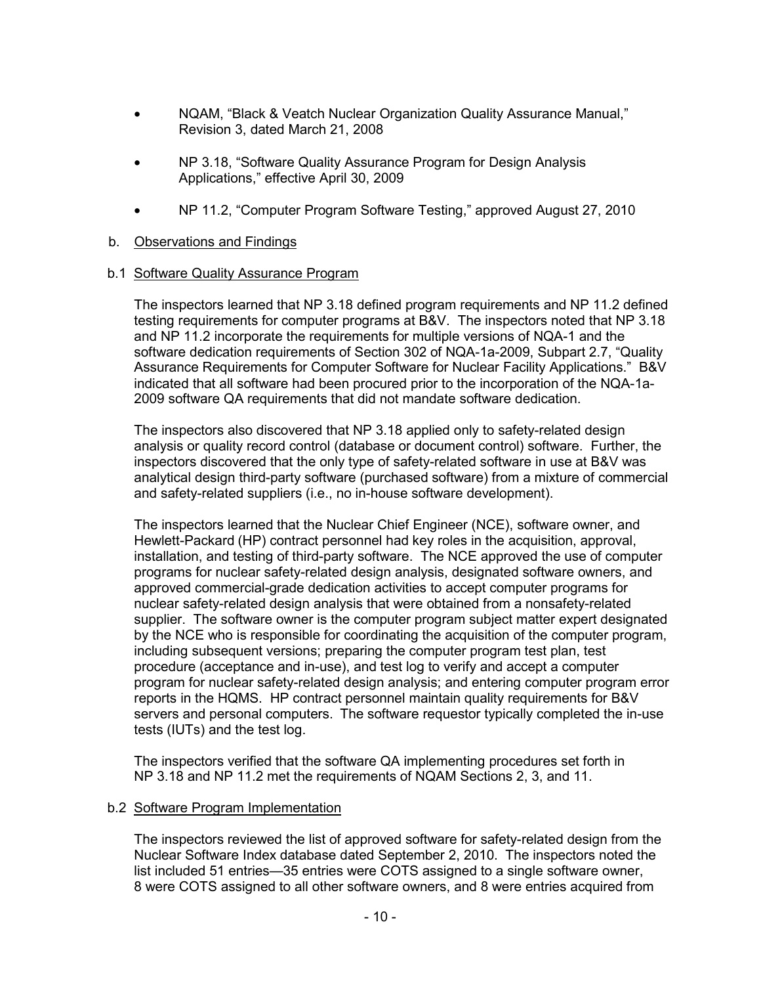- NQAM, "Black & Veatch Nuclear Organization Quality Assurance Manual," Revision 3, dated March 21, 2008
- NP 3.18, "Software Quality Assurance Program for Design Analysis Applications," effective April 30, 2009
- NP 11.2, "Computer Program Software Testing," approved August 27, 2010

# b. Observations and Findings

### b.1 Software Quality Assurance Program

The inspectors learned that NP 3.18 defined program requirements and NP 11.2 defined testing requirements for computer programs at B&V. The inspectors noted that NP 3.18 and NP 11.2 incorporate the requirements for multiple versions of NQA-1 and the software dedication requirements of Section 302 of NQA-1a-2009, Subpart 2.7, "Quality Assurance Requirements for Computer Software for Nuclear Facility Applications." B&V indicated that all software had been procured prior to the incorporation of the NQA-1a-2009 software QA requirements that did not mandate software dedication.

The inspectors also discovered that NP 3.18 applied only to safety-related design analysis or quality record control (database or document control) software. Further, the inspectors discovered that the only type of safety-related software in use at B&V was analytical design third-party software (purchased software) from a mixture of commercial and safety-related suppliers (i.e., no in-house software development).

The inspectors learned that the Nuclear Chief Engineer (NCE), software owner, and Hewlett-Packard (HP) contract personnel had key roles in the acquisition, approval, installation, and testing of third-party software. The NCE approved the use of computer programs for nuclear safety-related design analysis, designated software owners, and approved commercial-grade dedication activities to accept computer programs for nuclear safety-related design analysis that were obtained from a nonsafety-related supplier. The software owner is the computer program subject matter expert designated by the NCE who is responsible for coordinating the acquisition of the computer program, including subsequent versions; preparing the computer program test plan, test procedure (acceptance and in-use), and test log to verify and accept a computer program for nuclear safety-related design analysis; and entering computer program error reports in the HQMS. HP contract personnel maintain quality requirements for B&V servers and personal computers. The software requestor typically completed the in-use tests (IUTs) and the test log.

The inspectors verified that the software QA implementing procedures set forth in NP 3.18 and NP 11.2 met the requirements of NQAM Sections 2, 3, and 11.

# b.2 Software Program Implementation

The inspectors reviewed the list of approved software for safety-related design from the Nuclear Software Index database dated September 2, 2010. The inspectors noted the list included 51 entries—35 entries were COTS assigned to a single software owner, 8 were COTS assigned to all other software owners, and 8 were entries acquired from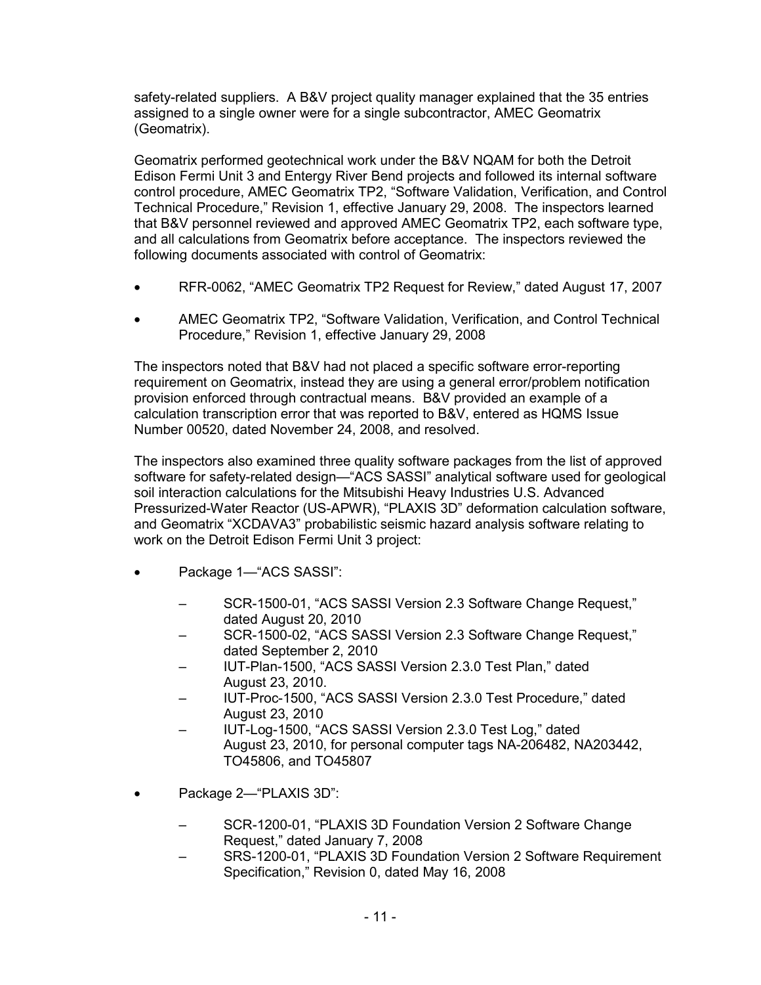safety-related suppliers. A B&V project quality manager explained that the 35 entries assigned to a single owner were for a single subcontractor, AMEC Geomatrix (Geomatrix).

Geomatrix performed geotechnical work under the B&V NQAM for both the Detroit Edison Fermi Unit 3 and Entergy River Bend projects and followed its internal software control procedure, AMEC Geomatrix TP2, "Software Validation, Verification, and Control Technical Procedure," Revision 1, effective January 29, 2008. The inspectors learned that B&V personnel reviewed and approved AMEC Geomatrix TP2, each software type, and all calculations from Geomatrix before acceptance. The inspectors reviewed the following documents associated with control of Geomatrix:

- RFR-0062, "AMEC Geomatrix TP2 Request for Review," dated August 17, 2007
- AMEC Geomatrix TP2, "Software Validation, Verification, and Control Technical Procedure," Revision 1, effective January 29, 2008

The inspectors noted that B&V had not placed a specific software error-reporting requirement on Geomatrix, instead they are using a general error/problem notification provision enforced through contractual means. B&V provided an example of a calculation transcription error that was reported to B&V, entered as HQMS Issue Number 00520, dated November 24, 2008, and resolved.

The inspectors also examined three quality software packages from the list of approved software for safety-related design—"ACS SASSI" analytical software used for geological soil interaction calculations for the Mitsubishi Heavy Industries U.S. Advanced Pressurized-Water Reactor (US-APWR), "PLAXIS 3D" deformation calculation software, and Geomatrix "XCDAVA3" probabilistic seismic hazard analysis software relating to work on the Detroit Edison Fermi Unit 3 project:

- Package 1—"ACS SASSI":
	- SCR-1500-01, "ACS SASSI Version 2.3 Software Change Request," dated August 20, 2010
	- SCR-1500-02, "ACS SASSI Version 2.3 Software Change Request," dated September 2, 2010
	- IUT-Plan-1500, "ACS SASSI Version 2.3.0 Test Plan," dated August 23, 2010.
	- IUT-Proc-1500, "ACS SASSI Version 2.3.0 Test Procedure," dated August 23, 2010
	- IUT-Log-1500, "ACS SASSI Version 2.3.0 Test Log," dated August 23, 2010, for personal computer tags NA-206482, NA203442, TO45806, and TO45807
- Package 2-"PLAXIS 3D":
	- SCR-1200-01, "PLAXIS 3D Foundation Version 2 Software Change Request," dated January 7, 2008
	- SRS-1200-01, "PLAXIS 3D Foundation Version 2 Software Requirement Specification," Revision 0, dated May 16, 2008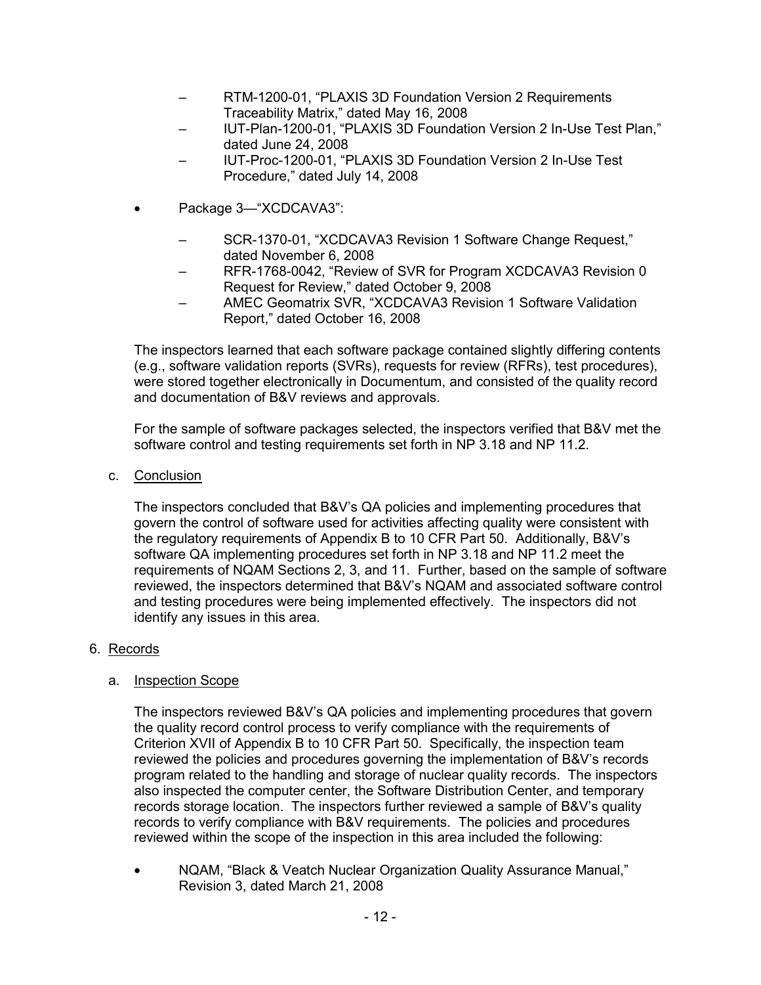- RTM-1200-01, "PLAXIS 3D Foundation Version 2 Requirements Traceability Matrix," dated May 16, 2008
- IUT-Plan-1200-01, "PLAXIS 3D Foundation Version 2 In-Use Test Plan," dated June 24, 2008
- IUT-Proc-1200-01, "PLAXIS 3D Foundation Version 2 In-Use Test Procedure," dated July 14, 2008
- Package 3—"XCDCAVA3":
	- SCR-1370-01, "XCDCAVA3 Revision 1 Software Change Request," dated November 6, 2008
	- RFR-1768-0042, "Review of SVR for Program XCDCAVA3 Revision 0 Request for Review," dated October 9, 2008
	- AMEC Geomatrix SVR, "XCDCAVA3 Revision 1 Software Validation Report," dated October 16, 2008

The inspectors learned that each software package contained slightly differing contents (e.g., software validation reports (SVRs), requests for review (RFRs), test procedures), were stored together electronically in Documentum, and consisted of the quality record and documentation of B&V reviews and approvals.

For the sample of software packages selected, the inspectors verified that B&V met the software control and testing requirements set forth in NP 3.18 and NP 11.2.

c. Conclusion

The inspectors concluded that B&V's QA policies and implementing procedures that govern the control of software used for activities affecting quality were consistent with the regulatory requirements of Appendix B to 10 CFR Part 50. Additionally, B&V's software QA implementing procedures set forth in NP 3.18 and NP 11.2 meet the requirements of NQAM Sections 2, 3, and 11. Further, based on the sample of software reviewed, the inspectors determined that B&V's NQAM and associated software control and testing procedures were being implemented effectively. The inspectors did not identify any issues in this area.

# 6. Records

# a. Inspection Scope

The inspectors reviewed B&V's QA policies and implementing procedures that govern the quality record control process to verify compliance with the requirements of Criterion XVII of Appendix B to 10 CFR Part 50. Specifically, the inspection team reviewed the policies and procedures governing the implementation of B&V's records program related to the handling and storage of nuclear quality records. The inspectors also inspected the computer center, the Software Distribution Center, and temporary records storage location. The inspectors further reviewed a sample of B&V's quality records to verify compliance with B&V requirements. The policies and procedures reviewed within the scope of the inspection in this area included the following:

• NQAM, "Black & Veatch Nuclear Organization Quality Assurance Manual," Revision 3, dated March 21, 2008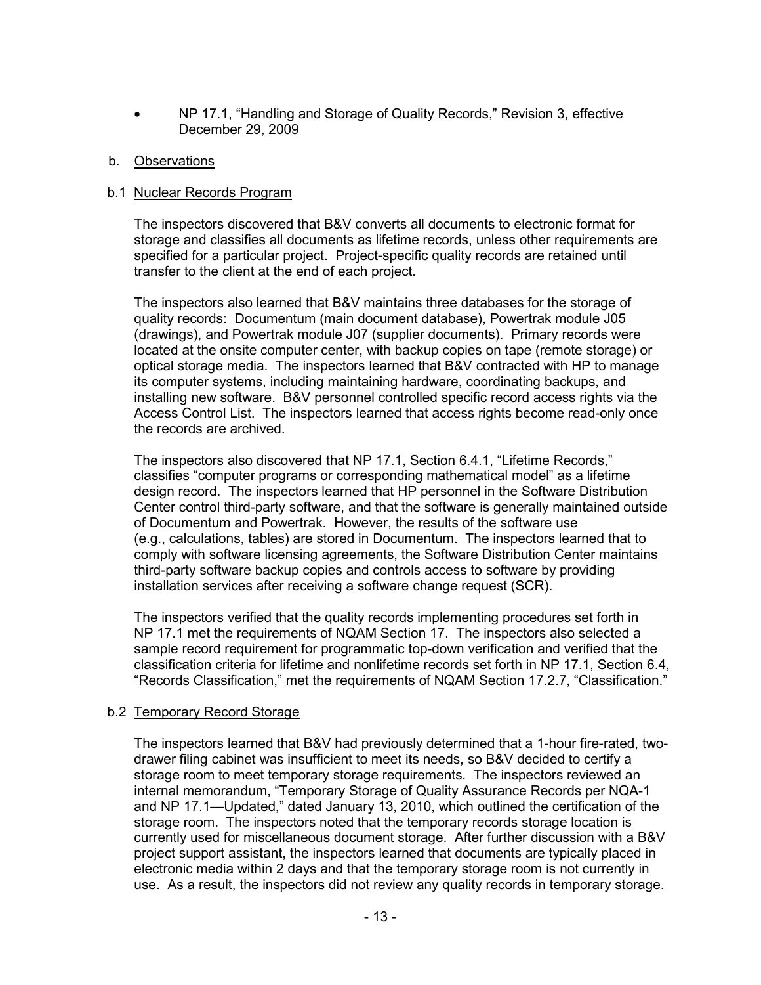• NP 17.1, "Handling and Storage of Quality Records," Revision 3, effective December 29, 2009

### b. Observations

### b.1 Nuclear Records Program

The inspectors discovered that B&V converts all documents to electronic format for storage and classifies all documents as lifetime records, unless other requirements are specified for a particular project. Project-specific quality records are retained until transfer to the client at the end of each project.

The inspectors also learned that B&V maintains three databases for the storage of quality records: Documentum (main document database), Powertrak module J05 (drawings), and Powertrak module J07 (supplier documents). Primary records were located at the onsite computer center, with backup copies on tape (remote storage) or optical storage media. The inspectors learned that B&V contracted with HP to manage its computer systems, including maintaining hardware, coordinating backups, and installing new software. B&V personnel controlled specific record access rights via the Access Control List. The inspectors learned that access rights become read-only once the records are archived.

The inspectors also discovered that NP 17.1, Section 6.4.1, "Lifetime Records," classifies "computer programs or corresponding mathematical model" as a lifetime design record. The inspectors learned that HP personnel in the Software Distribution Center control third-party software, and that the software is generally maintained outside of Documentum and Powertrak. However, the results of the software use (e.g., calculations, tables) are stored in Documentum. The inspectors learned that to comply with software licensing agreements, the Software Distribution Center maintains third-party software backup copies and controls access to software by providing installation services after receiving a software change request (SCR).

The inspectors verified that the quality records implementing procedures set forth in NP 17.1 met the requirements of NQAM Section 17. The inspectors also selected a sample record requirement for programmatic top-down verification and verified that the classification criteria for lifetime and nonlifetime records set forth in NP 17.1, Section 6.4, "Records Classification," met the requirements of NQAM Section 17.2.7, "Classification."

# b.2 Temporary Record Storage

The inspectors learned that B&V had previously determined that a 1-hour fire-rated, twodrawer filing cabinet was insufficient to meet its needs, so B&V decided to certify a storage room to meet temporary storage requirements. The inspectors reviewed an internal memorandum, "Temporary Storage of Quality Assurance Records per NQA-1 and NP 17.1—Updated," dated January 13, 2010, which outlined the certification of the storage room. The inspectors noted that the temporary records storage location is currently used for miscellaneous document storage. After further discussion with a B&V project support assistant, the inspectors learned that documents are typically placed in electronic media within 2 days and that the temporary storage room is not currently in use. As a result, the inspectors did not review any quality records in temporary storage.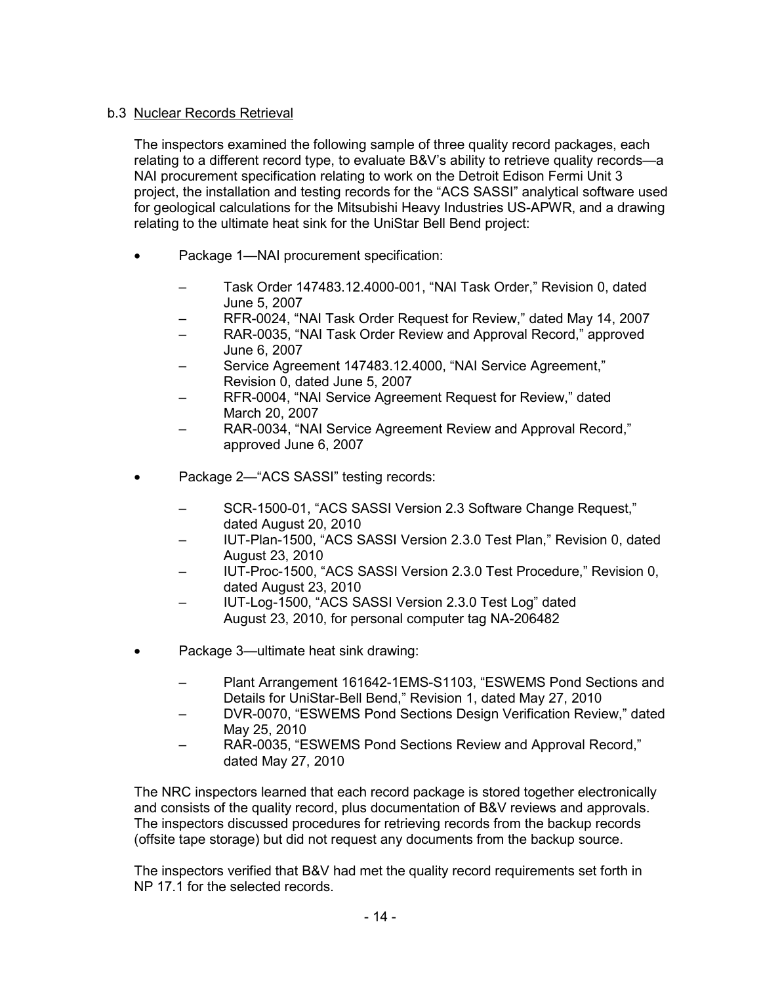# b.3 Nuclear Records Retrieval

The inspectors examined the following sample of three quality record packages, each relating to a different record type, to evaluate B&V's ability to retrieve quality records—a NAI procurement specification relating to work on the Detroit Edison Fermi Unit 3 project, the installation and testing records for the "ACS SASSI" analytical software used for geological calculations for the Mitsubishi Heavy Industries US-APWR, and a drawing relating to the ultimate heat sink for the UniStar Bell Bend project:

- Package 1-NAI procurement specification:
	- Task Order 147483.12.4000-001, "NAI Task Order," Revision 0, dated June 5, 2007
	- RFR-0024, "NAI Task Order Request for Review," dated May 14, 2007
	- RAR-0035, "NAI Task Order Review and Approval Record," approved June 6, 2007
	- Service Agreement 147483.12.4000, "NAI Service Agreement," Revision 0, dated June 5, 2007
	- RFR-0004, "NAI Service Agreement Request for Review," dated March 20, 2007
	- RAR-0034, "NAI Service Agreement Review and Approval Record," approved June 6, 2007
- Package 2—"ACS SASSI" testing records:
	- SCR-1500-01, "ACS SASSI Version 2.3 Software Change Request," dated August 20, 2010
	- IUT-Plan-1500, "ACS SASSI Version 2.3.0 Test Plan," Revision 0, dated August 23, 2010
	- IUT-Proc-1500, "ACS SASSI Version 2.3.0 Test Procedure," Revision 0, dated August 23, 2010
	- IUT-Log-1500, "ACS SASSI Version 2.3.0 Test Log" dated August 23, 2010, for personal computer tag NA-206482
- Package 3—ultimate heat sink drawing:
	- Plant Arrangement 161642-1EMS-S1103, "ESWEMS Pond Sections and Details for UniStar-Bell Bend," Revision 1, dated May 27, 2010
	- DVR-0070, "ESWEMS Pond Sections Design Verification Review," dated May 25, 2010
	- RAR-0035, "ESWEMS Pond Sections Review and Approval Record," dated May 27, 2010

The NRC inspectors learned that each record package is stored together electronically and consists of the quality record, plus documentation of B&V reviews and approvals. The inspectors discussed procedures for retrieving records from the backup records (offsite tape storage) but did not request any documents from the backup source.

The inspectors verified that B&V had met the quality record requirements set forth in NP 17.1 for the selected records.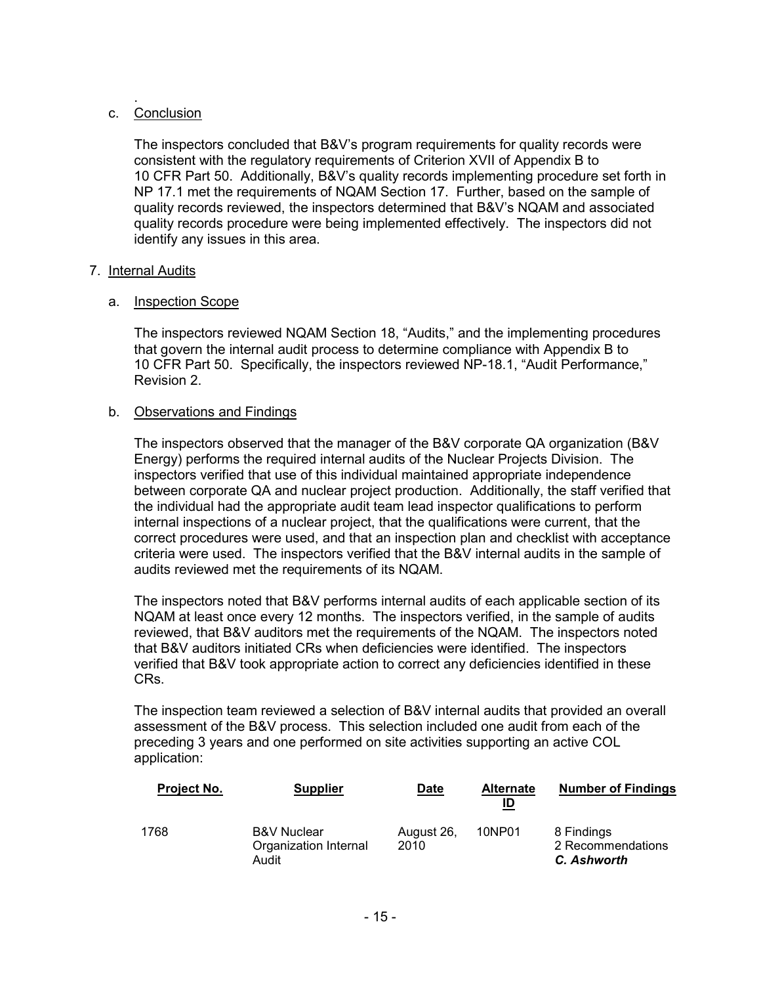#### . c. Conclusion

The inspectors concluded that B&V's program requirements for quality records were consistent with the regulatory requirements of Criterion XVII of Appendix B to 10 CFR Part 50. Additionally, B&V's quality records implementing procedure set forth in NP 17.1 met the requirements of NQAM Section 17. Further, based on the sample of quality records reviewed, the inspectors determined that B&V's NQAM and associated quality records procedure were being implemented effectively. The inspectors did not identify any issues in this area.

### 7. Internal Audits

### a. Inspection Scope

The inspectors reviewed NQAM Section 18, "Audits," and the implementing procedures that govern the internal audit process to determine compliance with Appendix B to 10 CFR Part 50. Specifically, the inspectors reviewed NP-18.1, "Audit Performance," Revision 2.

#### b. Observations and Findings

The inspectors observed that the manager of the B&V corporate QA organization (B&V Energy) performs the required internal audits of the Nuclear Projects Division. The inspectors verified that use of this individual maintained appropriate independence between corporate QA and nuclear project production. Additionally, the staff verified that the individual had the appropriate audit team lead inspector qualifications to perform internal inspections of a nuclear project, that the qualifications were current, that the correct procedures were used, and that an inspection plan and checklist with acceptance criteria were used. The inspectors verified that the B&V internal audits in the sample of audits reviewed met the requirements of its NQAM.

The inspectors noted that B&V performs internal audits of each applicable section of its NQAM at least once every 12 months. The inspectors verified, in the sample of audits reviewed, that B&V auditors met the requirements of the NQAM. The inspectors noted that B&V auditors initiated CRs when deficiencies were identified. The inspectors verified that B&V took appropriate action to correct any deficiencies identified in these CRs.

The inspection team reviewed a selection of B&V internal audits that provided an overall assessment of the B&V process. This selection included one audit from each of the preceding 3 years and one performed on site activities supporting an active COL application:

| Project No. | <b>Supplier</b>                                          | Date               | <b>Alternate</b><br>ID | <b>Number of Findings</b>                      |
|-------------|----------------------------------------------------------|--------------------|------------------------|------------------------------------------------|
| 1768        | <b>B&amp;V Nuclear</b><br>Organization Internal<br>Audit | August 26,<br>2010 | 10NP01                 | 8 Findings<br>2 Recommendations<br>C. Ashworth |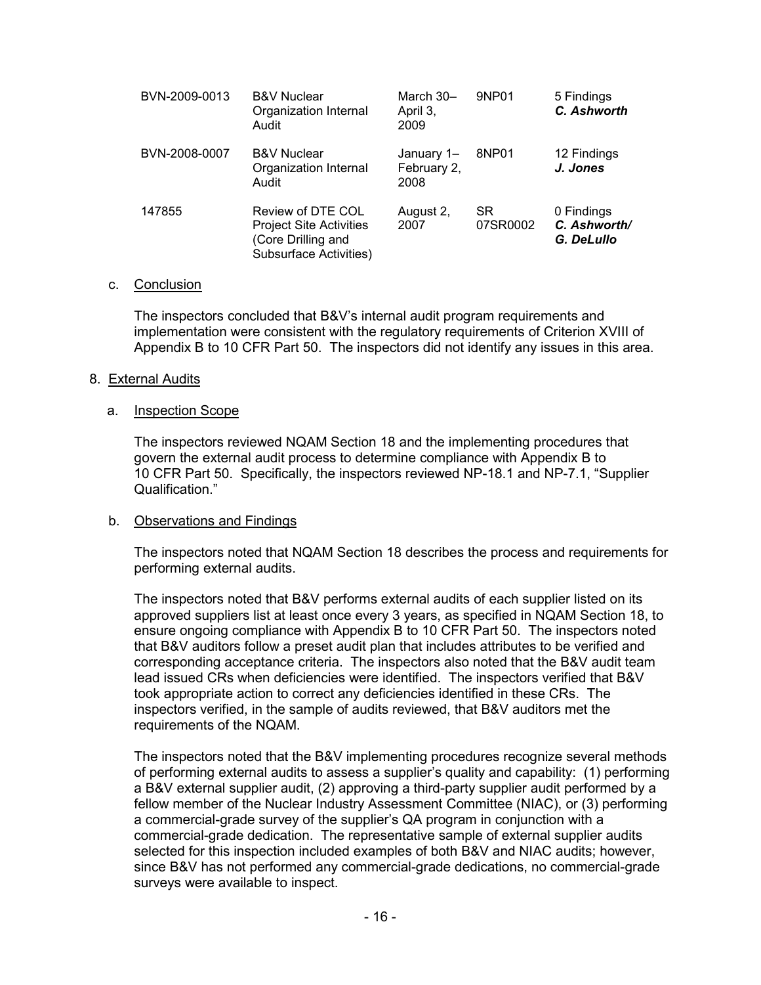| BVN-2009-0013 | <b>B&amp;V Nuclear</b><br>Organization Internal<br>Audit                                            | March 30-<br>April 3.<br>2009     | 9NP01                 | 5 Findings<br>C. Ashworth                |
|---------------|-----------------------------------------------------------------------------------------------------|-----------------------------------|-----------------------|------------------------------------------|
| BVN-2008-0007 | <b>B&amp;V Nuclear</b><br>Organization Internal<br>Audit                                            | January 1-<br>February 2,<br>2008 | 8NP01                 | 12 Findings<br>J. Jones                  |
| 147855        | Review of DTE COL<br><b>Project Site Activities</b><br>(Core Drilling and<br>Subsurface Activities) | August 2,<br>2007                 | <b>SR</b><br>07SR0002 | 0 Findings<br>C. Ashworth/<br>G. DeLullo |

#### c. Conclusion

The inspectors concluded that B&V's internal audit program requirements and implementation were consistent with the regulatory requirements of Criterion XVIII of Appendix B to 10 CFR Part 50. The inspectors did not identify any issues in this area.

#### 8. External Audits

#### a. Inspection Scope

The inspectors reviewed NQAM Section 18 and the implementing procedures that govern the external audit process to determine compliance with Appendix B to 10 CFR Part 50. Specifically, the inspectors reviewed NP-18.1 and NP-7.1, "Supplier Qualification."

#### b. Observations and Findings

The inspectors noted that NQAM Section 18 describes the process and requirements for performing external audits.

The inspectors noted that B&V performs external audits of each supplier listed on its approved suppliers list at least once every 3 years, as specified in NQAM Section 18, to ensure ongoing compliance with Appendix B to 10 CFR Part 50. The inspectors noted that B&V auditors follow a preset audit plan that includes attributes to be verified and corresponding acceptance criteria. The inspectors also noted that the B&V audit team lead issued CRs when deficiencies were identified. The inspectors verified that B&V took appropriate action to correct any deficiencies identified in these CRs. The inspectors verified, in the sample of audits reviewed, that B&V auditors met the requirements of the NQAM.

The inspectors noted that the B&V implementing procedures recognize several methods of performing external audits to assess a supplier's quality and capability: (1) performing a B&V external supplier audit, (2) approving a third-party supplier audit performed by a fellow member of the Nuclear Industry Assessment Committee (NIAC), or (3) performing a commercial-grade survey of the supplier's QA program in conjunction with a commercial-grade dedication. The representative sample of external supplier audits selected for this inspection included examples of both B&V and NIAC audits; however, since B&V has not performed any commercial-grade dedications, no commercial-grade surveys were available to inspect.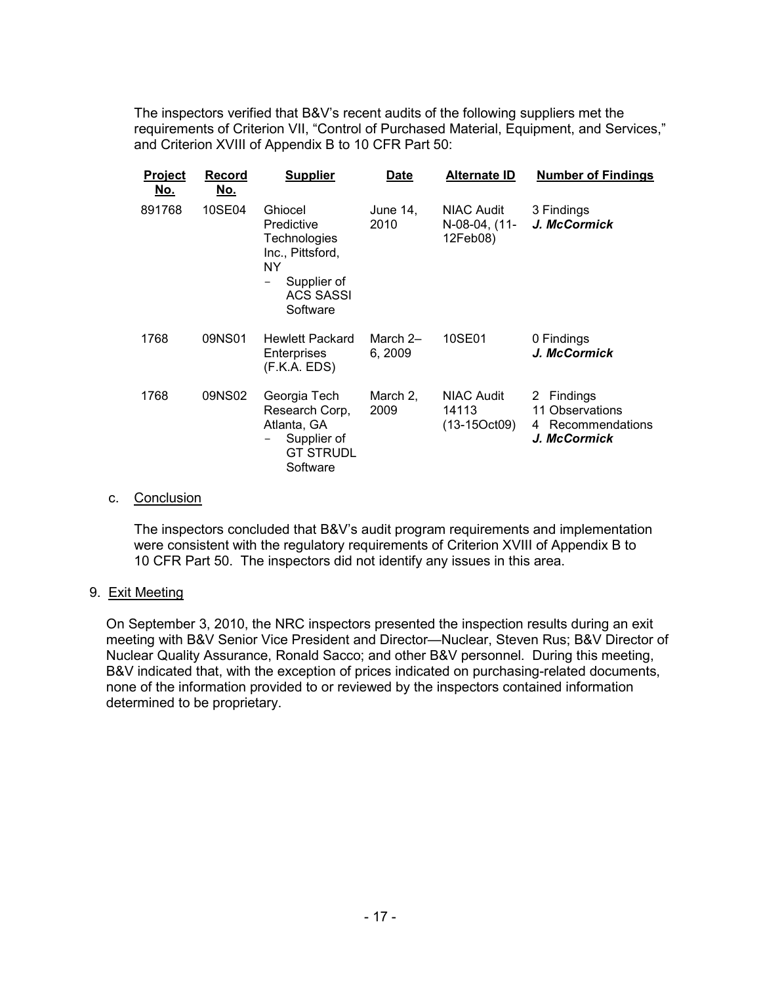The inspectors verified that B&V's recent audits of the following suppliers met the requirements of Criterion VII, "Control of Purchased Material, Equipment, and Services," and Criterion XVIII of Appendix B to 10 CFR Part 50:

| Project<br><u>No.</u> | Record<br><u>No.</u> | <b>Supplier</b>                                                                                                       | Date                | Alternate ID                                   | <b>Number of Findings</b>                                             |
|-----------------------|----------------------|-----------------------------------------------------------------------------------------------------------------------|---------------------|------------------------------------------------|-----------------------------------------------------------------------|
| 891768                | 10SE04               | Ghiocel<br>Predictive<br><b>Technologies</b><br>Inc., Pittsford,<br>ΝY<br>Supplier of<br><b>ACS SASSI</b><br>Software | June 14,<br>2010    | <b>NIAC Audit</b><br>N-08-04, (11-<br>12Feb08) | 3 Findings<br>J. McCormick                                            |
| 1768                  | 09NS01               | <b>Hewlett Packard</b><br>Enterprises<br>(F.K.A. EDS)                                                                 | March 2-<br>6, 2009 | 10SE01                                         | 0 Findings<br>J. McCormick                                            |
| 1768                  | 09NS02               | Georgia Tech<br>Research Corp,<br>Atlanta, GA<br>Supplier of<br><b>GT STRUDL</b><br>Software                          | March 2,<br>2009    | <b>NIAC Audit</b><br>14113<br>$(13-15Oct09)$   | 2 Findings<br>11 Observations<br>Recommendations<br>4<br>J. McCormick |

# c. Conclusion

The inspectors concluded that B&V's audit program requirements and implementation were consistent with the regulatory requirements of Criterion XVIII of Appendix B to 10 CFR Part 50. The inspectors did not identify any issues in this area.

#### 9. Exit Meeting

On September 3, 2010, the NRC inspectors presented the inspection results during an exit meeting with B&V Senior Vice President and Director—Nuclear, Steven Rus; B&V Director of Nuclear Quality Assurance, Ronald Sacco; and other B&V personnel. During this meeting, B&V indicated that, with the exception of prices indicated on purchasing-related documents, none of the information provided to or reviewed by the inspectors contained information determined to be proprietary.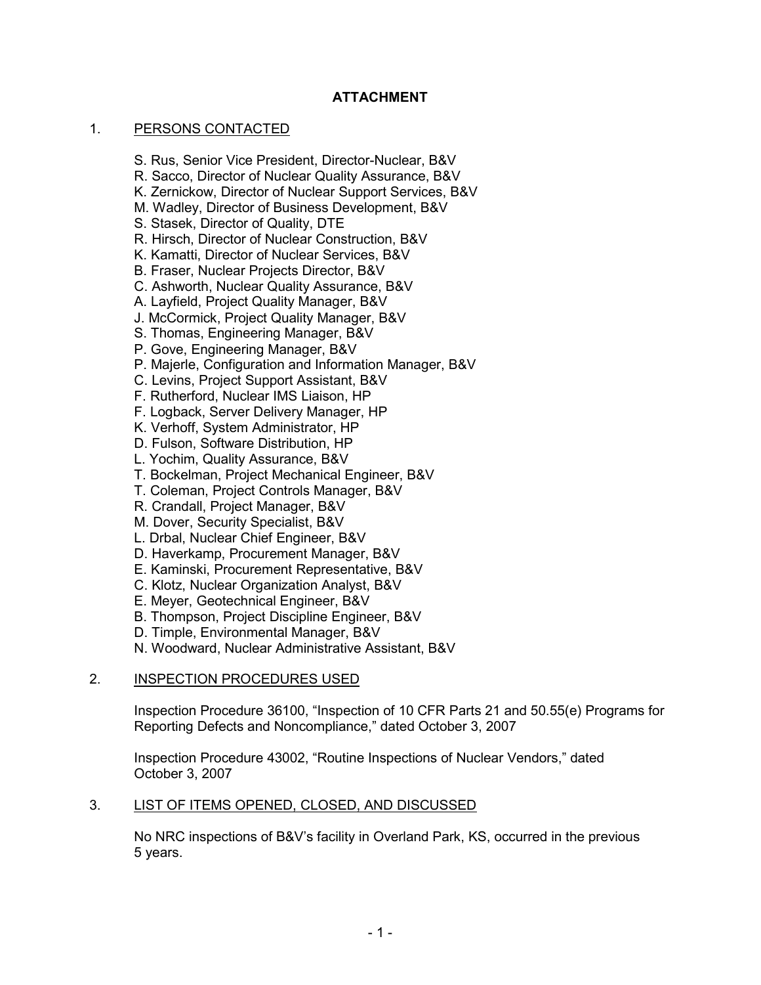# **ATTACHMENT**

# 1. PERSONS CONTACTED

- S. Rus, Senior Vice President, Director-Nuclear, B&V
- R. Sacco, Director of Nuclear Quality Assurance, B&V
- K. Zernickow, Director of Nuclear Support Services, B&V
- M. Wadley, Director of Business Development, B&V
- S. Stasek, Director of Quality, DTE
- R. Hirsch, Director of Nuclear Construction, B&V
- K. Kamatti, Director of Nuclear Services, B&V
- B. Fraser, Nuclear Projects Director, B&V
- C. Ashworth, Nuclear Quality Assurance, B&V
- A. Layfield, Project Quality Manager, B&V
- J. McCormick, Project Quality Manager, B&V
- S. Thomas, Engineering Manager, B&V
- P. Gove, Engineering Manager, B&V
- P. Majerle, Configuration and Information Manager, B&V
- C. Levins, Project Support Assistant, B&V
- F. Rutherford, Nuclear IMS Liaison, HP
- F. Logback, Server Delivery Manager, HP
- K. Verhoff, System Administrator, HP
- D. Fulson, Software Distribution, HP
- L. Yochim, Quality Assurance, B&V
- T. Bockelman, Project Mechanical Engineer, B&V
- T. Coleman, Project Controls Manager, B&V
- R. Crandall, Project Manager, B&V
- M. Dover, Security Specialist, B&V
- L. Drbal, Nuclear Chief Engineer, B&V
- D. Haverkamp, Procurement Manager, B&V
- E. Kaminski, Procurement Representative, B&V
- C. Klotz, Nuclear Organization Analyst, B&V
- E. Meyer, Geotechnical Engineer, B&V
- B. Thompson, Project Discipline Engineer, B&V
- D. Timple, Environmental Manager, B&V
- N. Woodward, Nuclear Administrative Assistant, B&V

# 2. INSPECTION PROCEDURES USED

Inspection Procedure 36100, "Inspection of 10 CFR Parts 21 and 50.55(e) Programs for Reporting Defects and Noncompliance," dated October 3, 2007

Inspection Procedure 43002, "Routine Inspections of Nuclear Vendors," dated October 3, 2007

# 3. LIST OF ITEMS OPENED, CLOSED, AND DISCUSSED

No NRC inspections of B&V's facility in Overland Park, KS, occurred in the previous 5 years.